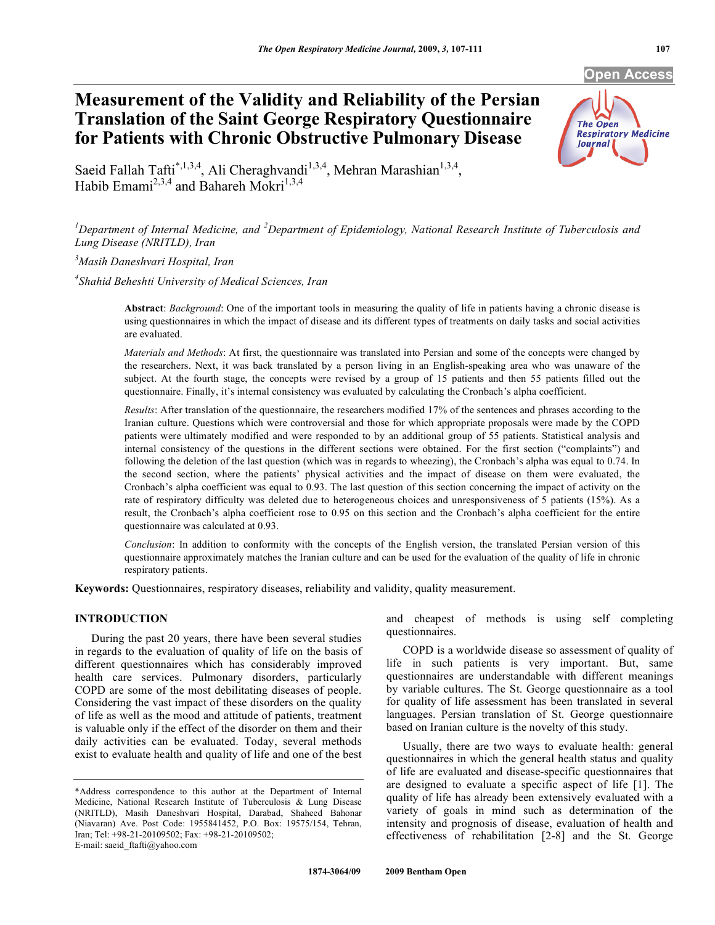# **Measurement of the Validity and Reliability of the Persian Translation of the Saint George Respiratory Questionnaire for Patients with Chronic Obstructive Pulmonary Disease**



**Open Access** 

Saeid Fallah Tafti<sup>\*,1,3,4</sup>, Ali Cheraghvandi<sup>1,3,4</sup>, Mehran Marashian<sup>1,3,4</sup>, Habib Emami<sup>2,3,4</sup> and Bahareh Mokri<sup>1,3,4</sup>

<sup>1</sup>Department of Internal Medicine, and <sup>2</sup>Department of Epidemiology, National Research Institute of Tuberculosis and *Lung Disease (NRITLD), Iran* 

*3 Masih Daneshvari Hospital, Iran*

*4 Shahid Beheshti University of Medical Sciences, Iran* 

**Abstract**: *Background*: One of the important tools in measuring the quality of life in patients having a chronic disease is using questionnaires in which the impact of disease and its different types of treatments on daily tasks and social activities are evaluated.

*Materials and Methods*: At first, the questionnaire was translated into Persian and some of the concepts were changed by the researchers. Next, it was back translated by a person living in an English-speaking area who was unaware of the subject. At the fourth stage, the concepts were revised by a group of 15 patients and then 55 patients filled out the questionnaire. Finally, it's internal consistency was evaluated by calculating the Cronbach's alpha coefficient.

*Results*: After translation of the questionnaire, the researchers modified 17% of the sentences and phrases according to the Iranian culture. Questions which were controversial and those for which appropriate proposals were made by the COPD patients were ultimately modified and were responded to by an additional group of 55 patients. Statistical analysis and internal consistency of the questions in the different sections were obtained. For the first section ("complaints") and following the deletion of the last question (which was in regards to wheezing), the Cronbach's alpha was equal to 0.74. In the second section, where the patients' physical activities and the impact of disease on them were evaluated, the Cronbach's alpha coefficient was equal to 0.93. The last question of this section concerning the impact of activity on the rate of respiratory difficulty was deleted due to heterogeneous choices and unresponsiveness of 5 patients (15%). As a result, the Cronbach's alpha coefficient rose to 0.95 on this section and the Cronbach's alpha coefficient for the entire questionnaire was calculated at 0.93.

*Conclusion*: In addition to conformity with the concepts of the English version, the translated Persian version of this questionnaire approximately matches the Iranian culture and can be used for the evaluation of the quality of life in chronic respiratory patients.

**Keywords:** Questionnaires, respiratory diseases, reliability and validity, quality measurement.

# **INTRODUCTION**

 During the past 20 years, there have been several studies in regards to the evaluation of quality of life on the basis of different questionnaires which has considerably improved health care services. Pulmonary disorders, particularly COPD are some of the most debilitating diseases of people. Considering the vast impact of these disorders on the quality of life as well as the mood and attitude of patients, treatment is valuable only if the effect of the disorder on them and their daily activities can be evaluated. Today, several methods exist to evaluate health and quality of life and one of the best and cheapest of methods is using self completing questionnaires.

 COPD is a worldwide disease so assessment of quality of life in such patients is very important. But, same questionnaires are understandable with different meanings by variable cultures. The St. George questionnaire as a tool for quality of life assessment has been translated in several languages. Persian translation of St. George questionnaire based on Iranian culture is the novelty of this study.

 Usually, there are two ways to evaluate health: general questionnaires in which the general health status and quality of life are evaluated and disease-specific questionnaires that are designed to evaluate a specific aspect of life [1]. The quality of life has already been extensively evaluated with a variety of goals in mind such as determination of the intensity and prognosis of disease, evaluation of health and effectiveness of rehabilitation [2-8] and the St. George

<sup>\*</sup>Address correspondence to this author at the Department of Internal Medicine, National Research Institute of Tuberculosis & Lung Disease (NRITLD), Masih Daneshvari Hospital, Darabad, Shaheed Bahonar (Niavaran) Ave. Post Code: 1955841452, P.O. Box: 19575/154, Tehran, Iran; Tel: +98-21-20109502; Fax: +98-21-20109502; E-mail: saeid\_ftafti@yahoo.com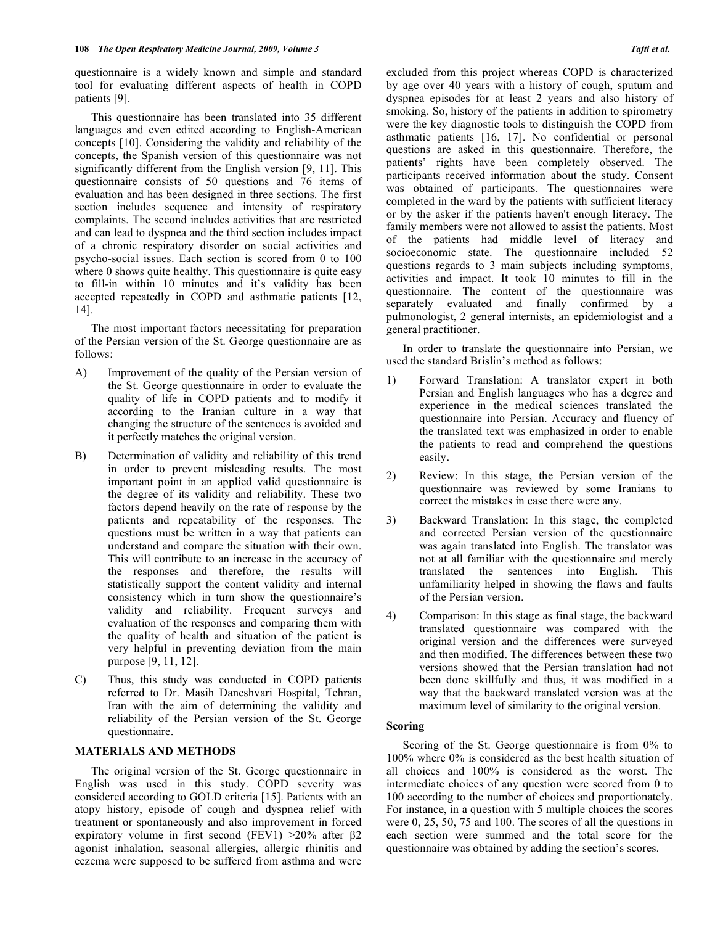questionnaire is a widely known and simple and standard tool for evaluating different aspects of health in COPD patients [9].

 This questionnaire has been translated into 35 different languages and even edited according to English-American concepts [10]. Considering the validity and reliability of the concepts, the Spanish version of this questionnaire was not significantly different from the English version [9, 11]. This questionnaire consists of 50 questions and 76 items of evaluation and has been designed in three sections. The first section includes sequence and intensity of respiratory complaints. The second includes activities that are restricted and can lead to dyspnea and the third section includes impact of a chronic respiratory disorder on social activities and psycho-social issues. Each section is scored from 0 to 100 where 0 shows quite healthy. This question aire is quite easy to fill-in within 10 minutes and it's validity has been accepted repeatedly in COPD and asthmatic patients [12, 14].

 The most important factors necessitating for preparation of the Persian version of the St. George questionnaire are as follows:

- A) Improvement of the quality of the Persian version of the St. George questionnaire in order to evaluate the quality of life in COPD patients and to modify it according to the Iranian culture in a way that changing the structure of the sentences is avoided and it perfectly matches the original version.
- B) Determination of validity and reliability of this trend in order to prevent misleading results. The most important point in an applied valid questionnaire is the degree of its validity and reliability. These two factors depend heavily on the rate of response by the patients and repeatability of the responses. The questions must be written in a way that patients can understand and compare the situation with their own. This will contribute to an increase in the accuracy of the responses and therefore, the results will statistically support the content validity and internal consistency which in turn show the questionnaire's validity and reliability. Frequent surveys and evaluation of the responses and comparing them with the quality of health and situation of the patient is very helpful in preventing deviation from the main purpose [9, 11, 12].
- C) Thus, this study was conducted in COPD patients referred to Dr. Masih Daneshvari Hospital, Tehran, Iran with the aim of determining the validity and reliability of the Persian version of the St. George questionnaire.

# **MATERIALS AND METHODS**

 The original version of the St. George questionnaire in English was used in this study. COPD severity was considered according to GOLD criteria [15]. Patients with an atopy history, episode of cough and dyspnea relief with treatment or spontaneously and also improvement in forced expiratory volume in first second (FEV1)  $>20\%$  after  $\beta$ 2 agonist inhalation, seasonal allergies, allergic rhinitis and eczema were supposed to be suffered from asthma and were

excluded from this project whereas COPD is characterized by age over 40 years with a history of cough, sputum and dyspnea episodes for at least 2 years and also history of smoking. So, history of the patients in addition to spirometry were the key diagnostic tools to distinguish the COPD from asthmatic patients [16, 17]. No confidential or personal questions are asked in this questionnaire. Therefore, the patients' rights have been completely observed. The participants received information about the study. Consent was obtained of participants. The questionnaires were completed in the ward by the patients with sufficient literacy or by the asker if the patients haven't enough literacy. The family members were not allowed to assist the patients. Most of the patients had middle level of literacy and socioeconomic state. The questionnaire included 52 questions regards to 3 main subjects including symptoms, activities and impact. It took 10 minutes to fill in the questionnaire. The content of the questionnaire was separately evaluated and finally confirmed by a pulmonologist, 2 general internists, an epidemiologist and a general practitioner.

 In order to translate the questionnaire into Persian, we used the standard Brislin's method as follows:

- 1) Forward Translation: A translator expert in both Persian and English languages who has a degree and experience in the medical sciences translated the questionnaire into Persian. Accuracy and fluency of the translated text was emphasized in order to enable the patients to read and comprehend the questions easily.
- 2) Review: In this stage, the Persian version of the questionnaire was reviewed by some Iranians to correct the mistakes in case there were any.
- 3) Backward Translation: In this stage, the completed and corrected Persian version of the questionnaire was again translated into English. The translator was not at all familiar with the questionnaire and merely translated the sentences into English. This unfamiliarity helped in showing the flaws and faults of the Persian version.
- 4) Comparison: In this stage as final stage, the backward translated questionnaire was compared with the original version and the differences were surveyed and then modified. The differences between these two versions showed that the Persian translation had not been done skillfully and thus, it was modified in a way that the backward translated version was at the maximum level of similarity to the original version.

## **Scoring**

 Scoring of the St. George questionnaire is from 0% to 100% where 0% is considered as the best health situation of all choices and 100% is considered as the worst. The intermediate choices of any question were scored from 0 to 100 according to the number of choices and proportionately. For instance, in a question with 5 multiple choices the scores were 0, 25, 50, 75 and 100. The scores of all the questions in each section were summed and the total score for the questionnaire was obtained by adding the section's scores.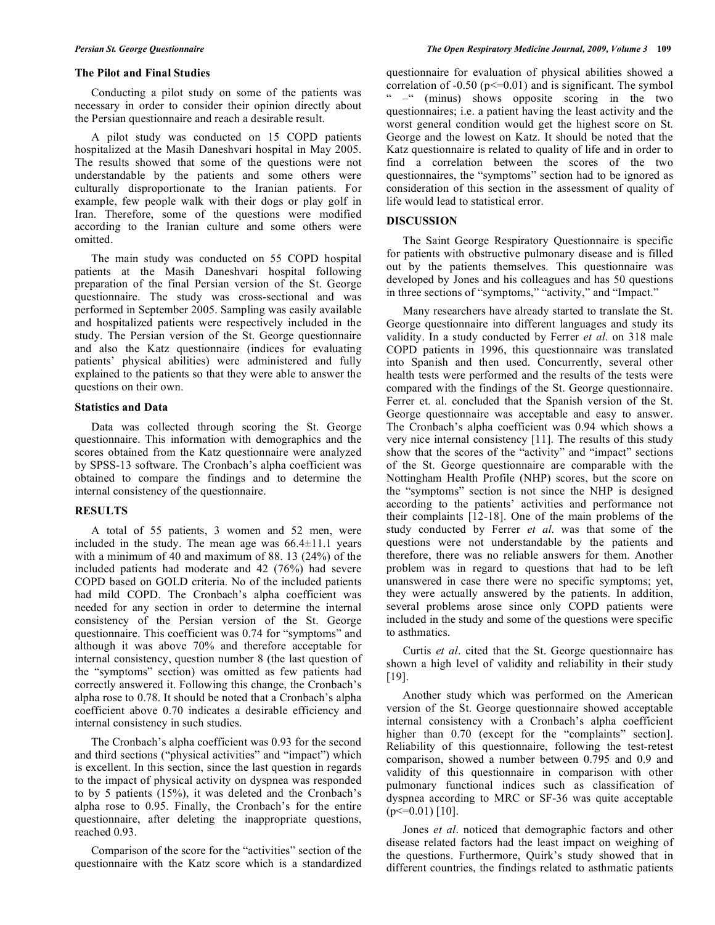# **The Pilot and Final Studies**

 Conducting a pilot study on some of the patients was necessary in order to consider their opinion directly about the Persian questionnaire and reach a desirable result.

 A pilot study was conducted on 15 COPD patients hospitalized at the Masih Daneshvari hospital in May 2005. The results showed that some of the questions were not understandable by the patients and some others were culturally disproportionate to the Iranian patients. For example, few people walk with their dogs or play golf in Iran. Therefore, some of the questions were modified according to the Iranian culture and some others were omitted.

 The main study was conducted on 55 COPD hospital patients at the Masih Daneshvari hospital following preparation of the final Persian version of the St. George questionnaire. The study was cross-sectional and was performed in September 2005. Sampling was easily available and hospitalized patients were respectively included in the study. The Persian version of the St. George questionnaire and also the Katz questionnaire (indices for evaluating patients' physical abilities) were administered and fully explained to the patients so that they were able to answer the questions on their own.

# **Statistics and Data**

 Data was collected through scoring the St. George questionnaire. This information with demographics and the scores obtained from the Katz questionnaire were analyzed by SPSS-13 software. The Cronbach's alpha coefficient was obtained to compare the findings and to determine the internal consistency of the questionnaire.

# **RESULTS**

 A total of 55 patients, 3 women and 52 men, were included in the study. The mean age was  $66.4 \pm 11.1$  years with a minimum of 40 and maximum of 88. 13 (24%) of the included patients had moderate and 42 (76%) had severe COPD based on GOLD criteria. No of the included patients had mild COPD. The Cronbach's alpha coefficient was needed for any section in order to determine the internal consistency of the Persian version of the St. George questionnaire. This coefficient was 0.74 for "symptoms" and although it was above 70% and therefore acceptable for internal consistency, question number 8 (the last question of the "symptoms" section) was omitted as few patients had correctly answered it. Following this change, the Cronbach's alpha rose to 0.78. It should be noted that a Cronbach's alpha coefficient above 0.70 indicates a desirable efficiency and internal consistency in such studies.

 The Cronbach's alpha coefficient was 0.93 for the second and third sections ("physical activities" and "impact") which is excellent. In this section, since the last question in regards to the impact of physical activity on dyspnea was responded to by 5 patients (15%), it was deleted and the Cronbach's alpha rose to 0.95. Finally, the Cronbach's for the entire questionnaire, after deleting the inappropriate questions, reached 0.93.

 Comparison of the score for the "activities" section of the questionnaire with the Katz score which is a standardized questionnaire for evaluation of physical abilities showed a correlation of  $-0.50$  ( $p \le 0.01$ ) and is significant. The symbol " –" (minus) shows opposite scoring in the two questionnaires; i.e. a patient having the least activity and the worst general condition would get the highest score on St. George and the lowest on Katz. It should be noted that the Katz questionnaire is related to quality of life and in order to find a correlation between the scores of the two questionnaires, the "symptoms" section had to be ignored as consideration of this section in the assessment of quality of life would lead to statistical error.

#### **DISCUSSION**

 The Saint George Respiratory Questionnaire is specific for patients with obstructive pulmonary disease and is filled out by the patients themselves. This questionnaire was developed by Jones and his colleagues and has 50 questions in three sections of "symptoms," "activity," and "Impact."

 Many researchers have already started to translate the St. George questionnaire into different languages and study its validity. In a study conducted by Ferrer *et al*. on 318 male COPD patients in 1996, this questionnaire was translated into Spanish and then used. Concurrently, several other health tests were performed and the results of the tests were compared with the findings of the St. George questionnaire. Ferrer et. al. concluded that the Spanish version of the St. George questionnaire was acceptable and easy to answer. The Cronbach's alpha coefficient was 0.94 which shows a very nice internal consistency [11]. The results of this study show that the scores of the "activity" and "impact" sections of the St. George questionnaire are comparable with the Nottingham Health Profile (NHP) scores, but the score on the "symptoms" section is not since the NHP is designed according to the patients' activities and performance not their complaints [12-18]. One of the main problems of the study conducted by Ferrer *et al*. was that some of the questions were not understandable by the patients and therefore, there was no reliable answers for them. Another problem was in regard to questions that had to be left unanswered in case there were no specific symptoms; yet, they were actually answered by the patients. In addition, several problems arose since only COPD patients were included in the study and some of the questions were specific to asthmatics.

 Curtis *et al*. cited that the St. George questionnaire has shown a high level of validity and reliability in their study [19].

 Another study which was performed on the American version of the St. George questionnaire showed acceptable internal consistency with a Cronbach's alpha coefficient higher than 0.70 (except for the "complaints" section]. Reliability of this questionnaire, following the test-retest comparison, showed a number between 0.795 and 0.9 and validity of this questionnaire in comparison with other pulmonary functional indices such as classification of dyspnea according to MRC or SF-36 was quite acceptable  $(p \le 0.01)$  [10].

 Jones *et al*. noticed that demographic factors and other disease related factors had the least impact on weighing of the questions. Furthermore, Quirk's study showed that in different countries, the findings related to asthmatic patients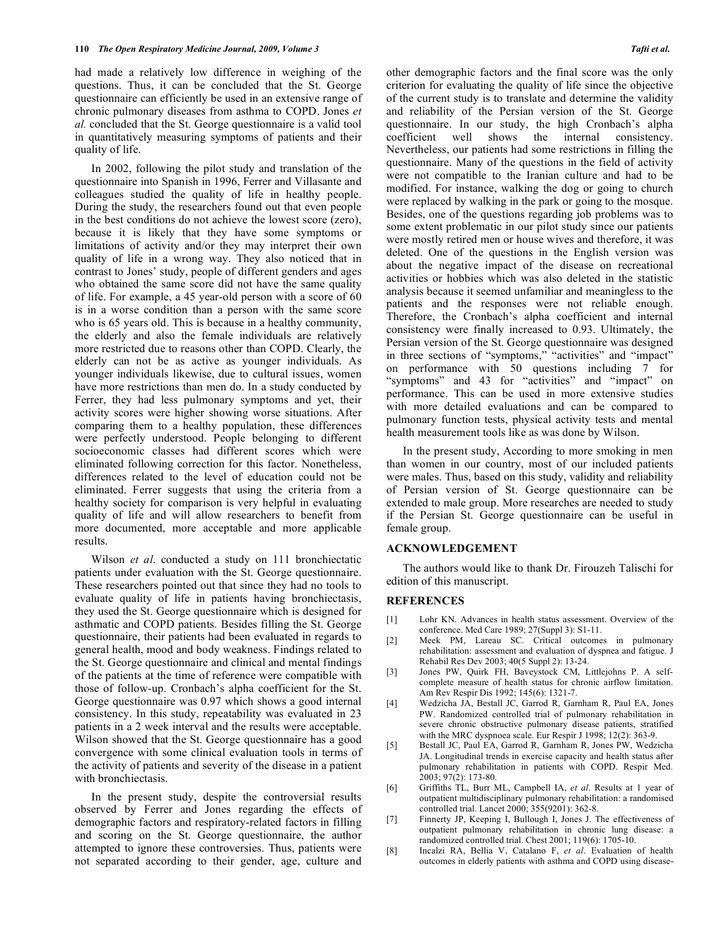had made a relatively low difference in weighing of the questions. Thus, it can be concluded that the St. George questionnaire can efficiently be used in an extensive range of chronic pulmonary diseases from asthma to COPD. Jones *et al.* concluded that the St. George questionnaire is a valid tool in quantitatively measuring symptoms of patients and their quality of life.

 In 2002, following the pilot study and translation of the questionnaire into Spanish in 1996, Ferrer and Villasante and colleagues studied the quality of life in healthy people. During the study, the researchers found out that even people in the best conditions do not achieve the lowest score (zero), because it is likely that they have some symptoms or limitations of activity and/or they may interpret their own quality of life in a wrong way. They also noticed that in contrast to Jones' study, people of different genders and ages who obtained the same score did not have the same quality of life. For example, a 45 year-old person with a score of 60 is in a worse condition than a person with the same score who is 65 years old. This is because in a healthy community, the elderly and also the female individuals are relatively more restricted due to reasons other than COPD. Clearly, the elderly can not be as active as younger individuals. As younger individuals likewise, due to cultural issues, women have more restrictions than men do. In a study conducted by Ferrer, they had less pulmonary symptoms and yet, their activity scores were higher showing worse situations. After comparing them to a healthy population, these differences were perfectly understood. People belonging to different socioeconomic classes had different scores which were eliminated following correction for this factor. Nonetheless, differences related to the level of education could not be eliminated. Ferrer suggests that using the criteria from a healthy society for comparison is very helpful in evaluating quality of life and will allow researchers to benefit from more documented, more acceptable and more applicable results.

 Wilson *et al*. conducted a study on 111 bronchiectatic patients under evaluation with the St. George questionnaire. These researchers pointed out that since they had no tools to evaluate quality of life in patients having bronchiectasis, they used the St. George questionnaire which is designed for asthmatic and COPD patients. Besides filling the St. George questionnaire, their patients had been evaluated in regards to general health, mood and body weakness. Findings related to the St. George questionnaire and clinical and mental findings of the patients at the time of reference were compatible with those of follow-up. Cronbach's alpha coefficient for the St. George questionnaire was 0.97 which shows a good internal consistency. In this study, repeatability was evaluated in 23 patients in a 2 week interval and the results were acceptable. Wilson showed that the St. George questionnaire has a good convergence with some clinical evaluation tools in terms of the activity of patients and severity of the disease in a patient with bronchiectasis.

 In the present study, despite the controversial results observed by Ferrer and Jones regarding the effects of demographic factors and respiratory-related factors in filling and scoring on the St. George questionnaire, the author attempted to ignore these controversies. Thus, patients were not separated according to their gender, age, culture and

other demographic factors and the final score was the only criterion for evaluating the quality of life since the objective of the current study is to translate and determine the validity and reliability of the Persian version of the St. George questionnaire. In our study, the high Cronbach's alpha coefficient well shows the internal consistency. Nevertheless, our patients had some restrictions in filling the questionnaire. Many of the questions in the field of activity were not compatible to the Iranian culture and had to be modified. For instance, walking the dog or going to church were replaced by walking in the park or going to the mosque. Besides, one of the questions regarding job problems was to some extent problematic in our pilot study since our patients were mostly retired men or house wives and therefore, it was deleted. One of the questions in the English version was about the negative impact of the disease on recreational activities or hobbies which was also deleted in the statistic analysis because it seemed unfamiliar and meaningless to the patients and the responses were not reliable enough. Therefore, the Cronbach's alpha coefficient and internal consistency were finally increased to 0.93. Ultimately, the Persian version of the St. George questionnaire was designed in three sections of "symptoms," "activities" and "impact" on performance with 50 questions including 7 for "symptoms" and 43 for "activities" and "impact" on performance. This can be used in more extensive studies with more detailed evaluations and can be compared to pulmonary function tests, physical activity tests and mental health measurement tools like as was done by Wilson.

 In the present study, According to more smoking in men than women in our country, most of our included patients were males. Thus, based on this study, validity and reliability of Persian version of St. George questionnaire can be extended to male group. More researches are needed to study if the Persian St. George questionnaire can be useful in female group.

#### **ACKNOWLEDGEMENT**

 The authors would like to thank Dr. Firouzeh Talischi for edition of this manuscript.

# **REFERENCES**

- [1] Lohr KN. Advances in health status assessment. Overview of the conference. Med Care 1989; 27(Suppl 3): S1-11.
- [2] Meek PM, Lareau SC. Critical outcomes in pulmonary rehabilitation: assessment and evaluation of dyspnea and fatigue. J Rehabil Res Dev 2003; 40(5 Suppl 2): 13-24.
- [3] Jones PW, Quirk FH, Baveystock CM, Littlejohns P. A selfcomplete measure of health status for chronic airflow limitation. Am Rev Respir Dis 1992; 145(6): 1321-7.
- [4] Wedzicha JA, Bestall JC, Garrod R, Garnham R, Paul EA, Jones PW. Randomized controlled trial of pulmonary rehabilitation in severe chronic obstructive pulmonary disease patients, stratified with the MRC dyspnoea scale. Eur Respir J 1998; 12(2): 363-9.
- [5] Bestall JC, Paul EA, Garrod R, Garnham R, Jones PW, Wedzicha JA. Longitudinal trends in exercise capacity and health status after pulmonary rehabilitation in patients with COPD. Respir Med. 2003; 97(2): 173-80.
- [6] Griffiths TL, Burr ML, Campbell IA, *et al*. Results at 1 year of outpatient multidisciplinary pulmonary rehabilitation: a randomised controlled trial. Lancet 2000; 355(9201): 362-8.
- [7] Finnerty JP, Keeping I, Bullough I, Jones J. The effectiveness of outpatient pulmonary rehabilitation in chronic lung disease: a randomized controlled trial. Chest 2001; 119(6): 1705-10.
- [8] Incalzi RA, Bellia V, Catalano F, *et al*. Evaluation of health outcomes in elderly patients with asthma and COPD using disease-